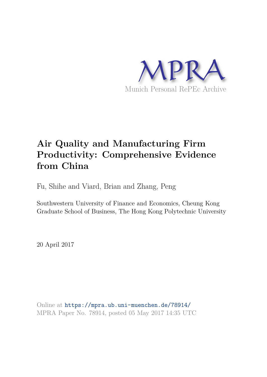

# **Air Quality and Manufacturing Firm Productivity: Comprehensive Evidence from China**

Fu, Shihe and Viard, Brian and Zhang, Peng

Southwestern University of Finance and Economics, Cheung Kong Graduate School of Business, The Hong Kong Polytechnic University

20 April 2017

Online at https://mpra.ub.uni-muenchen.de/78914/ MPRA Paper No. 78914, posted 05 May 2017 14:35 UTC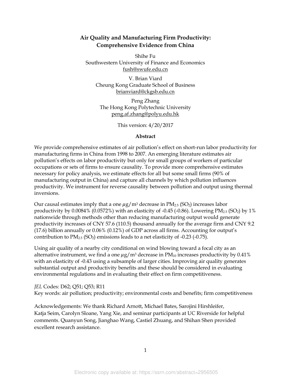#### **Air Quality and Manufacturing Firm Productivity: Comprehensive Evidence from China**

Shihe Fu Southwestern University of Finance and Economics fush@swufe.edu.cn

V. Brian Viard Cheung Kong Graduate School of Business brianviard@ckgsb.edu.cn

Peng Zhang The Hong Kong Polytechnic University peng.af.zhang@polyu.edu.hk

This version: 4/20/2017

#### **Abstract**

We provide comprehensive estimates of air pollution's effect on short-run labor productivity for manufacturing firms in China from 1998 to 2007. An emerging literature estimates air pollution's effects on labor productivity but only for small groups of workers of particular occupations or sets of firms to ensure causality. To provide more comprehensive estimates necessary for policy analysis, we estimate effects for all but some small firms (90% of manufacturing output in China) and capture all channels by which pollution influences productivity. We instrument for reverse causality between pollution and output using thermal inversions.

Our causal estimates imply that a one  $\mu$ g/m<sup>3</sup> decrease in PM<sub>2.5</sub> (SO<sub>2</sub>) increases labor productivity by  $0.0084\%$  (0.0572%) with an elasticity of -0.45 (-0.86). Lowering PM<sub>2.5</sub> (SO<sub>2</sub>) by 1% nationwide through methods other than reducing manufacturing output would generate productivity increases of CNY 57.6 (110.5) thousand annually for the average firm and CNY 9.2 (17.6) billion annually or 0.06% (0.12%) of GDP across all firms. Accounting for output's contribution to  $PM_{2.5}$  (SO<sub>2</sub>) emissions leads to a net elasticity of -0.23 (-0.75).

Using air quality of a nearby city conditional on wind blowing toward a focal city as an alternative instrument, we find a one  $\mu$ g/m<sup>3</sup> decrease in PM<sub>10</sub> increases productivity by 0.41% with an elasticity of -0.43 using a subsample of larger cities. Improving air quality generates substantial output and productivity benefits and these should be considered in evaluating environmental regulations and in evaluating their effect on firm competitiveness.

*JEL* Codes: D62; Q51; Q53; R11 Key words: air pollution; productivity; environmental costs and benefits; firm competitiveness

Acknowledgements: We thank Richard Arnott, Michael Bates, Sarojini Hirshleifer, Katja Seim, Carolyn Sloane, Yang Xie, and seminar participants at UC Riverside for helpful comments. Quanyun Song, Jianghao Wang, Castiel Zhuang, and Shihan Shen provided excellent research assistance.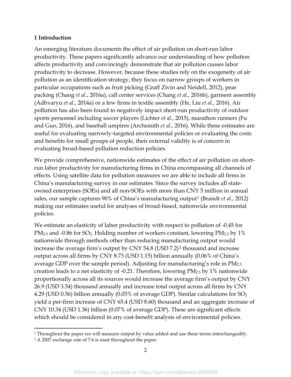#### **1 Introduction**

l

An emerging literature documents the effect of air pollution on short-run labor productivity. These papers significantly advance our understanding of how pollution affects productivity and convincingly demonstrate that air pollution causes labor productivity to decrease. However, because these studies rely on the exogeneity of air pollution as an identification strategy, they focus on narrow groups of workers in particular occupations such as fruit picking (Graff Zivin and Neidell, 2012), pear packing (Chang *et al*., 2016a), call center services (Chang *et al*., 2016b), garment assembly (Adhvaryu *et al*., 2014a) or a few firms in textile assembly (He, Liu *et al.,* 2016). Air pollution has also been found to negatively impact short-run productivity of outdoor sports personnel including soccer players (Lichter *et al*., 2015), marathon runners (Fu and Guo, 2016), and baseball umpires (Archsmith *et al*., 2016). While these estimates are useful for evaluating narrowly-targeted environmental policies or evaluating the costs and benefits for small groups of people, their external validity is of concern in evaluating broad-based pollution reduction policies.

We provide comprehensive, nationwide estimates of the effect of air pollution on shortrun labor productivity for manufacturing firms in China encompassing all channels of effects. Using satellite data for pollution measures we are able to include all firms in China's manufacturing survey in our estimates. Since the survey includes all stateowned enterprises (SOEs) and all non-SOEs with more than CNY 5 million in annual sales, our sample captures 90% of China's manufacturing output[1](#page-2-0) (Brandt *et al.*, 2012) making our estimates useful for analyses of broad-based, nationwide environmental policies.

We estimate an elasticity of labor productivity with respect to pollution of -0.45 for PM<sub>2.5</sub> and -0.86 for SO<sub>2</sub>. Holding number of workers constant, lowering PM<sub>2.5</sub> by 1% nationwide through methods other than reducing manufacturing output would increase the average firm's output by CNY 54.8 (USD 7.2)[2](#page-2-1) thousand and increase output across all firms by CNY 8.73 (USD 1.15) billion annually (0.06% of China's average GDP over the sample period). Adjusting for manufacturing's role in PM<sub>2.5</sub> creation leads to a net elasticity of -0.21. Therefore, lowering PM2.5 by 1% nationwide proportionally across all its sources would increase the average firm's output by CNY 26.9 (USD 3.54) thousand annually and increase total output across all firms by CNY 4.29 (USD 0.56) billion annually (0.03% of average GDP). Similar calculations for SO<sup>2</sup> yield a per-firm increase of CNY 65.4 (USD 8.60) thousand and an aggregate increase of CNY 10.34 (USD 1.36) billion (0.07% of average GDP). These are significant effects which should be considered in any cost-benefit analysis of environmental policies.

<span id="page-2-1"></span><span id="page-2-0"></span><sup>&</sup>lt;sup>1</sup> Throughout the paper we will measure output by value added and use these terms interchangeably. <sup>2</sup> A 2007 exchange rate of 7.6 is used throughout the paper.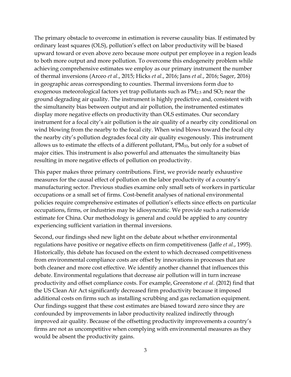The primary obstacle to overcome in estimation is reverse causality bias. If estimated by ordinary least squares (OLS), pollution's effect on labor productivity will be biased upward toward or even above zero because more output per employee in a region leads to both more output and more pollution. To overcome this endogeneity problem while achieving comprehensive estimates we employ as our primary instrument the number of thermal inversions (Arceo *et al*., 2015; Hicks *et al*., 2016; Jans *et al.*, 2016; Sager, 2016) in geographic areas corresponding to counties. Thermal inversions form due to exogenous meteorological factors yet trap pollutants such as  $PM_{2.5}$  and  $SO_2$  near the ground degrading air quality. The instrument is highly predictive and, consistent with the simultaneity bias between output and air pollution, the instrumented estimates display more negative effects on productivity than OLS estimates. Our secondary instrument for a focal city's air pollution is the air quality of a nearby city conditional on wind blowing from the nearby to the focal city. When wind blows toward the focal city the nearby city's pollution degrades focal city air quality exogenously. This instrument allows us to estimate the effects of a different pollutant,  $PM_{10}$ , but only for a subset of major cities. This instrument is also powerful and attenuates the simultaneity bias resulting in more negative effects of pollution on productivity.

This paper makes three primary contributions. First, we provide nearly exhaustive measures for the causal effect of pollution on the labor productivity of a country's manufacturing sector. Previous studies examine only small sets of workers in particular occupations or a small set of firms. Cost-benefit analyses of national environmental policies require comprehensive estimates of pollution's effects since effects on particular occupations, firms, or industries may be idiosyncratic. We provide such a nationwide estimate for China. Our methodology is general and could be applied to any country experiencing sufficient variation in thermal inversions.

Second, our findings shed new light on the debate about whether environmental regulations have positive or negative effects on firm competitiveness (Jaffe *et al*., 1995). Historically, this debate has focused on the extent to which decreased competitiveness from environmental compliance costs are offset by innovations in processes that are both cleaner and more cost effective. We identify another channel that influences this debate. Environmental regulations that decrease air pollution will in turn increase productivity and offset compliance costs. For example, Greenstone *et al.* (2012) find that the US Clean Air Act significantly decreased firm productivity because it imposed additional costs on firms such as installing scrubbing and gas reclamation equipment. Our findings suggest that these cost estimates are biased toward zero since they are confounded by improvements in labor productivity realized indirectly through improved air quality. Because of the offsetting productivity improvements a country's firms are not as uncompetitive when complying with environmental measures as they would be absent the productivity gains.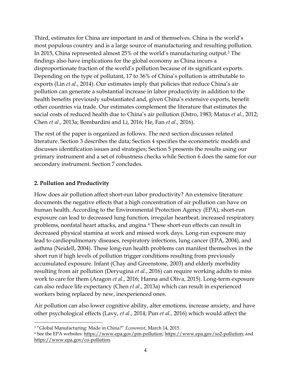Third, estimates for China are important in and of themselves. China is the world's most populous country and is a large source of manufacturing and resulting pollution. In 2015, China represented almost 25% of the world's manufacturing output. [3](#page-4-0) The findings also have implications for the global economy as China incurs a disproportionate fraction of the world's pollution because of its significant exports. Depending on the type of pollutant, 17 to 36% of China's pollution is attributable to exports (Lin *et al.*, 2014). Our estimates imply that policies that reduce China's air pollution can generate a substantial increase in labor productivity in addition to the health benefits previously substantiated and, given China's extensive exports, benefit other countries via trade. Our estimates complement the literature that estimates the social costs of reduced health due to China's air pollution (Ostro, 1983; Matus *et al*., 2012; Chen *et al*., 2013a; Bombardini and Li, 2016; He, Fan *et al*., 2016).

The rest of the paper is organized as follows. The next section discusses related literature. Section 3 describes the data; Section 4 specifies the econometric models and discusses identification issues and strategies; Section 5 presents the results using our primary instrument and a set of robustness checks while Section 6 does the same for our secondary instrument. Section 7 concludes.

## **2. Pollution and Productivity**

 $\overline{a}$ 

How does air pollution affect short-run labor productivity? An extensive literature documents the negative effects that a high concentration of air pollution can have on human health. According to the Environmental Protection Agency (EPA), short-run exposure can lead to decreased lung function, irregular heartbeat, increased respiratory problems, nonfatal heart attacks, and angina. [4](#page-4-1) These short-run effects can result in decreased physical stamina at work and missed work days. Long-run exposure may lead to cardiopulmonary diseases, respiratory infections, lung cancer (EPA, 2004), and asthma (Neidell, 2004). These long-run health problems can manifest themselves in the short run if high levels of pollution trigger conditions resulting from previously accumulated exposure. Infant (Chay and Greenstone, 2003) and elderly morbidity resulting from air pollution (Deryugina *et al*., 2016) can require working adults to miss work to care for them (Aragon *et al*., 2016; Hanna and Oliva, 2015). Long-term exposure can also reduce life expectancy (Chen *et al*., 2013a) which can result in experienced workers being replaced by new, inexperienced ones.

Air pollution can also lower cognitive ability, alter emotions, increase anxiety, and have other psychological effects (Lavy, *et al*., 2014; Pun *et al*., 2016) which would affect the

<span id="page-4-0"></span><sup>3</sup> "Global Manufacturing: Made in China?" *Economist*, March 14, 2015.

<span id="page-4-1"></span><sup>4</sup> See the EPA websites: https://www.epa.gov/pm-pollution; https://www.epa.gov/so2-pollution; and https://www.epa.gov/co-pollution.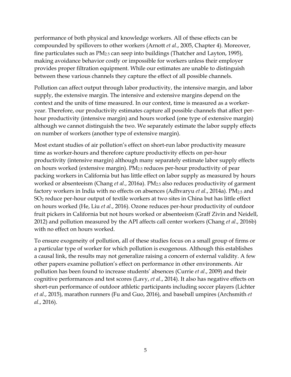performance of both physical and knowledge workers. All of these effects can be compounded by spillovers to other workers (Arnott *et al*., 2005, Chapter 4). Moreover, fine particulates such as  $PM<sub>2.5</sub>$  can seep into buildings (Thatcher and Layton, 1995), making avoidance behavior costly or impossible for workers unless their employer provides proper filtration equipment. While our estimates are unable to distinguish between these various channels they capture the effect of all possible channels.

Pollution can affect output through labor productivity, the intensive margin, and labor supply, the extensive margin. The intensive and extensive margins depend on the context and the units of time measured. In our context, time is measured as a workeryear. Therefore, our productivity estimates capture all possible channels that affect perhour productivity (intensive margin) and hours worked (one type of extensive margin) although we cannot distinguish the two. We separately estimate the labor supply effects on number of workers (another type of extensive margin).

Most extant studies of air pollution's effect on short-run labor productivity measure time as worker-hours and therefore capture productivity effects on per-hour productivity (intensive margin) although many separately estimate labor supply effects on hours worked (extensive margin). PM2.5 reduces per-hour productivity of pear packing workers in California but has little effect on labor supply as measured by hours worked or absenteeism (Chang *et al*., 2016a). PM2.5 also reduces productivity of garment factory workers in India with no effects on absences (Adhvaryu *et al*., 2014a). PM2.5 and SO<sup>2</sup> reduce per-hour output of textile workers at two sites in China but has little effect on hours worked (He, Liu *et al*., 2016). Ozone reduces per-hour productivity of outdoor fruit pickers in California but not hours worked or absenteeism (Graff Zivin and Neidell, 2012) and pollution measured by the API affects call center workers (Chang *et al*., 2016b) with no effect on hours worked.

To ensure exogeneity of pollution, all of these studies focus on a small group of firms or a particular type of worker for which pollution is exogenous. Although this establishes a causal link, the results may not generalize raising a concern of external validity. A few other papers examine pollution's effect on performance in other environments. Air pollution has been found to increase students' absences (Currie *et al*., 2009) and their cognitive performances and test scores (Lavy, *et al*., 2014). It also has negative effects on short-run performance of outdoor athletic participants including soccer players (Lichter *et al*., 2015), marathon runners (Fu and Guo, 2016), and baseball umpires (Archsmith *et al*., 2016).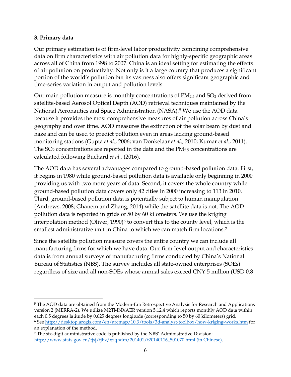### **3. Primary data**

 $\overline{a}$ 

Our primary estimation is of firm-level labor productivity combining comprehensive data on firm characteristics with air pollution data for highly-specific geographic areas across all of China from 1998 to 2007. China is an ideal setting for estimating the effects of air pollution on productivity. Not only is it a large country that produces a significant portion of the world's pollution but its vastness also offers significant geographic and time-series variation in output and pollution levels.

Our main pollution measure is monthly concentrations of  $PM_{2.5}$  and  $SO_2$  derived from satellite-based Aerosol Optical Depth (AOD) retrieval techniques maintained by the National Aeronautics and Space Administration (NASA). [5](#page-6-0) We use the AOD data because it provides the most comprehensive measures of air pollution across China's geography and over time. AOD measures the extinction of the solar beam by dust and haze and can be used to predict pollution even in areas lacking ground-based monitoring stations (Gupta *et al*., 2006; van Donkelaar *et al*., 2010; Kumar *et al*., 2011). The  $SO_2$  concentrations are reported in the data and the  $PM_{2.5}$  concentrations are calculated following Buchard *et al.,* (2016).

The AOD data has several advantages compared to ground-based pollution data. First, it begins in 1980 while ground-based pollution data is available only beginning in 2000 providing us with two more years of data. Second, it covers the whole country while ground-based pollution data covers only 42 cities in 2000 increasing to 113 in 2010. Third, ground-based pollution data is potentially subject to human manipulation (Andrews, 2008; Ghanem and Zhang, 2014) while the satellite data is not. The AOD pollution data is reported in grids of 50 by 60 kilometers. We use the kriging interpolation method (Oliver, 1990)<sup>[6](#page-6-1)</sup> to convert this to the county level, which is the smallest administrative unit in China to which we can match firm locations. [7](#page-6-2)

Since the satellite pollution measure covers the entire country we can include all manufacturing firms for which we have data. Our firm-level output and characteristics data is from annual surveys of manufacturing firms conducted by China's National Bureau of Statistics (NBS). The survey includes all state-owned enterprises (SOEs) regardless of size and all non-SOEs whose annual sales exceed CNY 5 million (USD 0.8

<span id="page-6-0"></span><sup>&</sup>lt;sup>5</sup> The AOD data are obtained from the Modern-Era Retrospective Analysis for Research and Applications version 2 (MERRA-2). We utilize M2TMNXAER version 5.12.4 which reports monthly AOD data within each 0.5 degrees latitude by 0.625 degrees longitude (corresponding to 50 by 60 kilometers) grid. <sup>6</sup> See http://desktop.arcgis.com/en/arcmap/10.3/tools/3d-analyst-toolbox/how-kriging-works.htm for an explanation of the method.

<span id="page-6-2"></span><span id="page-6-1"></span><sup>7</sup> The six-digit administrative code is published by the NBS' Administrative Division: http://www.stats.gov.cn/tjsj/tjbz/xzqhdm/201401/t20140116\_501070.html (in Chinese).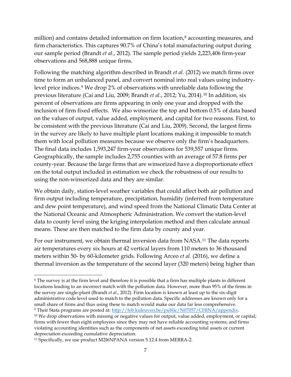million) and contains detailed information on firm location,<sup>[8](#page-7-0)</sup> accounting measures, and firm characteristics. This captures 90.7% of China's total manufacturing output during our sample period (Brandt *et al*., 2012). The sample period yields 2,223,406 firm-year observations and 568,888 unique firms.

Following the matching algorithm described in Brandt *et al.* (2012) we match firms over time to form an unbalanced panel, and convert nominal into real values using industrylevel price indices.[9](#page-7-1) We drop 2% of observations with unreliable data following the previous literature (Cai and Liu, 2009; Brandt *et al*., 2012; Yu, 2014).[10](#page-7-2) In addition, six percent of observations are firms appearing in only one year and dropped with the inclusion of firm fixed effects. We also winsorize the top and bottom 0.5% of data based on the values of output, value added, employment, and capital for two reasons. First, to be consistent with the previous literature (Cai and Liu, 2009). Second, the largest firms in the survey are likely to have multiple plant locations making it impossible to match them with local pollution measures because we observe only the firm's headquarters. The final data includes 1,593,247 firm-year observations for 539,557 unique firms. Geographically, the sample includes 2,755 counties with an average of 57.8 firms per county-year. Because the large firms that are winsorized have a disproportionate effect on the total output included in estimation we check the robustness of our results to using the non-winsorized data and they are similar.

We obtain daily, station-level weather variables that could affect both air pollution and firm output including temperature, precipitation, humidity (inferred from temperature and dew point temperature), and wind speed from the National Climatic Data Center at the National Oceanic and Atmospheric Administration. We convert the station-level data to county level using the kriging interpolation method and then calculate annual means. These are then matched to the firm data by county and year.

For our instrument, we obtain thermal inversion data from NASA.[11](#page-7-3) The data reports air temperatures every six hours at 42 vertical layers from 110 meters to 36 thousand meters within 50- by 60-kilometer grids. Following Arceo *et al.* (2016), we define a thermal inversion as the temperature of the second layer (320 meters) being higher than

 $\overline{a}$ 

<span id="page-7-0"></span><sup>8</sup> The survey is at the firm level and therefore it is possible that a firm has multiple plants in different locations leading to an incorrect match with the pollution data. However, more than 95% of the firms in the survey are single-plant (Brandt *et al*., 2012). Firm location is known at least up to the six-digit administrative code level used to match to the pollution data. Specific addresses are known only for a small share of firms and thus using these to match would make our data far less comprehensive. <sup>9</sup> Their Stata programs are posted at: http://feb.kuleuven.be/public/N07057/CHINA/appendix.

<span id="page-7-2"></span><span id="page-7-1"></span><sup>&</sup>lt;sup>10</sup> We drop observations with missing or negative values for output, value added, employment, or capital; firms with fewer than eight employees since they may not have reliable accounting systems; and firms violating accounting identities such as the components of net assets exceeding total assets or current depreciation exceeding cumulative depreciation.

<span id="page-7-3"></span><sup>11</sup> Specifically, we use product M2I6NPANA version 5.12.4 from MERRA-2.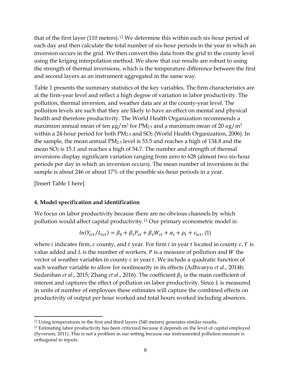that of the first layer (110 meters).[12](#page-8-0) We determine this within each six-hour period of each day and then calculate the total number of six-hour periods in the year in which an inversion occurs in the grid. We then convert this data from the grid to the county level using the kriging interpolation method. We show that our results are robust to using the strength of thermal inversions, which is the temperature difference between the first and second layers as an instrument aggregated in the same way.

Table 1 presents the summary statistics of the key variables. The firm characteristics are at the firm-year level and reflect a high degree of variation in labor productivity. The pollution, thermal inversion, and weather data are at the county-year level. The pollution levels are such that they are likely to have an effect on mental and physical health and therefore productivity. The World Health Organization recommends a maximum annual mean of ten  $\mu$ g/m<sup>3</sup> for PM<sub>2.5</sub> and a maximum mean of 20  $\mu$ g/m<sup>3</sup> within a 24-hour period for both  $PM_{2.5}$  and  $SO_2$  (World Health Organization, 2006). In the sample, the mean annual PM2.5 level is 53.5 and reaches a high of 134.8 and the mean SO<sub>2</sub> is 15.1 and reaches a high of 54.7. The number and strength of thermal inversions display significant variation ranging from zero to 628 (almost two six-hour periods per day in which an inversion occurs). The mean number of inversions in the sample is about 246 or about 17% of the possible six-hour periods in a year.

[Insert Table 1 here]

 $\overline{a}$ 

#### **4. Model specification and identification**

We focus on labor productivity because there are no obvious channels by which pollution would affect capital productivity.[13](#page-8-1) Our primary econometric model is:

$$
ln(Y_{ict}/L_{ict}) = \beta_0 + \beta_1 P_{ct} + \beta_2 W_{ct} + \alpha_i + \rho_t + \varepsilon_{ict},
$$
 (1)

where *i* indicates firm,  $c$  county, and  $t$  year. For firm  $i$  in year  $t$  located in county  $c$ ,  $Y$  is value added and  $L$  is the number of workers.  $P$  is a measure of pollution and  $W$  the vector of weather variables in county  $c$  in year  $t$ . We include a quadratic function of each weather variable to allow for nonlinearity in its effects (Adhvaryu *et al*., 2014b; Sudarshan *et al.*, 2015; Zhang *et al.*, 2016). The coefficient  $\beta_1$  is the main coefficient of interest and captures the effect of pollution on labor productivity. Since  $L$  is measured in units of number of employees these estimates will capture the combined effects on productivity of output per hour worked and total hours worked including absences.

<span id="page-8-0"></span><sup>12</sup> Using temperatures in the first and third layers (540 meters) generates similar results.

<span id="page-8-1"></span><sup>&</sup>lt;sup>13</sup> Estimating labor productivity has been criticized because it depends on the level of capital employed (Syverson, 2011). This is not a problem in our setting because our instrumented pollution measure is orthogonal to inputs.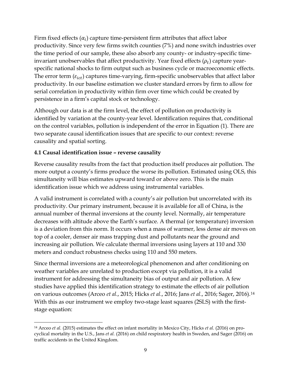Firm fixed effects  $(\alpha_i)$  capture time-persistent firm attributes that affect labor productivity. Since very few firms switch counties (7%) and none switch industries over the time period of our sample, these also absorb any county- or industry-specific timeinvariant unobservables that affect productivity. Year fixed effects  $(\rho_t)$  capture yearspecific national shocks to firm output such as business cycle or macroeconomic effects. The error term  $(\varepsilon_{ict})$  captures time-varying, firm-specific unobservables that affect labor productivity. In our baseline estimation we cluster standard errors by firm to allow for serial correlation in productivity within firm over time which could be created by persistence in a firm's capital stock or technology.

Although our data is at the firm level, the effect of pollution on productivity is identified by variation at the county-year level. Identification requires that, conditional on the control variables, pollution is independent of the error in Equation (1). There are two separate causal identification issues that are specific to our context: reverse causality and spatial sorting.

## **4.1 Causal identification issue – reverse causality**

 $\overline{a}$ 

Reverse causality results from the fact that production itself produces air pollution. The more output a county's firms produce the worse its pollution. Estimated using OLS, this simultaneity will bias estimates upward toward or above zero. This is the main identification issue which we address using instrumental variables.

A valid instrument is correlated with a county's air pollution but uncorrelated with its productivity. Our primary instrument, because it is available for all of China, is the annual number of thermal inversions at the county level. Normally, air temperature decreases with altitude above the Earth's surface. A thermal (or temperature) inversion is a deviation from this norm. It occurs when a mass of warmer, less dense air moves on top of a cooler, denser air mass trapping dust and pollutants near the ground and increasing air pollution. We calculate thermal inversions using layers at 110 and 330 meters and conduct robustness checks using 110 and 550 meters.

Since thermal inversions are a meteorological phenomenon and after conditioning on weather variables are unrelated to production except via pollution, it is a valid instrument for addressing the simultaneity bias of output and air pollution. A few studies have applied this identification strategy to estimate the effects of air pollution on various outcomes (Arceo *et al*., 2015; Hicks *et al*., 2016; Jans *et al*., 2016; Sager, 2016).[14](#page-9-0) With this as our instrument we employ two-stage least squares (2SLS) with the firststage equation:

<span id="page-9-0"></span><sup>14</sup> Arceo *et al.* (2015) estimates the effect on infant mortality in Mexico City, Hicks *et al.* (2016) on procyclical mortality in the U.S., Jans *et al.* (2016) on child respiratory health in Sweden, and Sager (2016) on traffic accidents in the United Kingdom.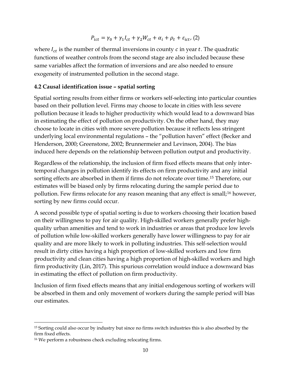$$
P_{ict}=\gamma_0+\gamma_1 I_{ct}+\gamma_2 W_{ct}+\alpha_i+\rho_t+\varepsilon_{ict}, \, (2)
$$

where  $I_{ct}$  is the number of thermal inversions in county c in year t. The quadratic functions of weather controls from the second stage are also included because these same variables affect the formation of inversions and are also needed to ensure exogeneity of instrumented pollution in the second stage.

#### **4.2 Causal identification issue – spatial sorting**

Spatial sorting results from either firms or workers self-selecting into particular counties based on their pollution level. Firms may choose to locate in cities with less severe pollution because it leads to higher productivity which would lead to a downward bias in estimating the effect of pollution on productivity. On the other hand, they may choose to locate in cities with more severe pollution because it reflects less stringent underlying local environmental regulations – the "pollution haven" effect (Becker and Henderson, 2000; Greenstone, 2002; Brunnermeier and Levinson, 2004). The bias induced here depends on the relationship between pollution output and productivity.

Regardless of the relationship, the inclusion of firm fixed effects means that only intertemporal changes in pollution identify its effects on firm productivity and any initial sorting effects are absorbed in them if firms do not relocate over time.[15](#page-10-0) Therefore, our estimates will be biased only by firms relocating during the sample period due to pollution. Few firms relocate for any reason meaning that any effect is small; [16](#page-10-1) however, sorting by new firms could occur.

A second possible type of spatial sorting is due to workers choosing their location based on their willingness to pay for air quality. High-skilled workers generally prefer highquality urban amenities and tend to work in industries or areas that produce low levels of pollution while low-skilled workers generally have lower willingness to pay for air quality and are more likely to work in polluting industries. This self-selection would result in dirty cities having a high proportion of low-skilled workers and low firm productivity and clean cities having a high proportion of high-skilled workers and high firm productivity (Lin, 2017). This spurious correlation would induce a downward bias in estimating the effect of pollution on firm productivity.

Inclusion of firm fixed effects means that any initial endogenous sorting of workers will be absorbed in them and only movement of workers during the sample period will bias our estimates.

 $\overline{a}$ 

<span id="page-10-0"></span><sup>&</sup>lt;sup>15</sup> Sorting could also occur by industry but since no firms switch industries this is also absorbed by the firm fixed effects.

<span id="page-10-1"></span><sup>16</sup> We perform a robustness check excluding relocating firms.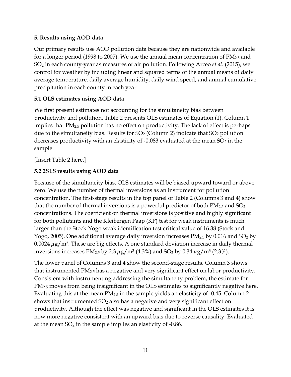### **5. Results using AOD data**

Our primary results use AOD pollution data because they are nationwide and available for a longer period (1998 to 2007). We use the annual mean concentration of PM2.5 and SO<sup>2</sup> in each county-year as measures of air pollution. Following Arceo *et al.* (2015), we control for weather by including linear and squared terms of the annual means of daily average temperature, daily average humidity, daily wind speed, and annual cumulative precipitation in each county in each year.

## **5.1 OLS estimates using AOD data**

We first present estimates not accounting for the simultaneity bias between productivity and pollution. Table 2 presents OLS estimates of Equation (1). Column 1 implies that PM2.5 pollution has no effect on productivity. The lack of effect is perhaps due to the simultaneity bias. Results for  $SO_2$  (Column 2) indicate that  $SO_2$  pollution decreases productivity with an elasticity of  $-0.083$  evaluated at the mean  $SO<sub>2</sub>$  in the sample.

[Insert Table 2 here.]

## **5.2 2SLS results using AOD data**

Because of the simultaneity bias, OLS estimates will be biased upward toward or above zero. We use the number of thermal inversions as an instrument for pollution concentration. The first-stage results in the top panel of Table 2 (Columns 3 and 4) show that the number of thermal inversions is a powerful predictor of both  $PM_{2.5}$  and  $SO_2$ concentrations. The coefficient on thermal inversions is positive and highly significant for both pollutants and the Kleibergen Paap (KP) test for weak instruments is much larger than the Stock-Yogo weak identification test critical value of 16.38 (Stock and Yogo, 2005). One additional average daily inversion increases  $PM_{2.5}$  by 0.016 and SO<sub>2</sub> by 0.0024  $\mu$ g/m<sup>3</sup>. These are big effects. A one standard deviation increase in daily thermal inversions increases PM<sub>2.5</sub> by 2.3  $\mu$ g/m<sup>3</sup> (4.3%) and SO<sub>2</sub> by 0.34  $\mu$ g/m<sup>3</sup> (2.3%).

The lower panel of Columns 3 and 4 show the second-stage results. Column 3 shows that instrumented  $PM_{2.5}$  has a negative and very significant effect on labor productivity. Consistent with instrumenting addressing the simultaneity problem, the estimate for PM2.5 moves from being insignificant in the OLS estimates to significantly negative here. Evaluating this at the mean PM2.5 in the sample yields an elasticity of -0.45. Column 2 shows that instrumented SO<sub>2</sub> also has a negative and very significant effect on productivity. Although the effect was negative and significant in the OLS estimates it is now more negative consistent with an upward bias due to reverse causality. Evaluated at the mean  $SO<sub>2</sub>$  in the sample implies an elasticity of -0.86.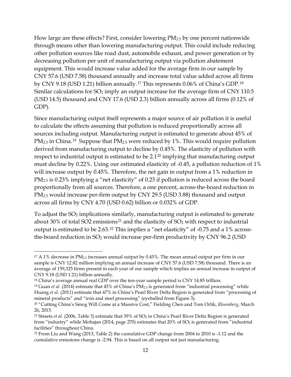How large are these effects? First, consider lowering PM2.5 by one percent nationwide through means other than lowering manufacturing output. This could include reducing other pollution sources like road dust, automobile exhaust, and power generation or by decreasing pollution per unit of manufacturing output via pollution abatement equipment. This would increase value added for the average firm in our sample by CNY 57.6 (USD 7.58) thousand annually and increase total value added across all firms by CNY 9.18 (USD 1.21) billion annually.[17](#page-12-0) This represents 0.06% of China's GDP.[18](#page-12-1) Similar calculations for  $SO_2$  imply an output increase for the average firm of CNY 110.5 (USD 14.5) thousand and CNY 17.6 (USD 2.3) billion annually across all firms (0.12% of GDP).

Since manufacturing output itself represents a major source of air pollution it is useful to calculate the effects assuming that pollution is reduced proportionally across all sources including output. Manufacturing output is estimated to generate about 45% of PM<sub>2.5</sub> in China.<sup>[19](#page-12-2)</sup> Suppose that PM<sub>2.5</sub> were reduced by 1%. This would require pollution derived from manufacturing output to decline by 0.45%. The elasticity of pollution with respect to industrial output is estimated to be 2.1<sup>[20](#page-12-3)</sup> implying that manufacturing output must decline by 0.22%. Using our estimated elasticity of -0.45, a pollution reduction of 1% will increase output by 0.45%. Therefore, the net gain in output from a 1% reduction in PM<sub>2.5</sub> is 0.23% implying a "net elasticity" of 0.23 if pollution is reduced across the board proportionally from all sources. Therefore, a one percent, across-the-board reduction in PM2.5 would increase per-firm output by CNY 29.5 (USD 3.88) thousand and output across all firms by CNY 4.70 (USD 0.62) billion or 0.032% of GDP.

To adjust the SO<sub>2</sub> implications similarly, manufacturing output is estimated to generate about 30% of total SO2 emissions<sup>[21](#page-12-4)</sup> and the elasticity of  $SO<sub>2</sub>$  with respect to industrial output is estimated to be 2.63.[22](#page-12-5) This implies a "net elasticity" of -0.75 and a 1% acrossthe-board reduction in  $SO_2$  would increase per-firm productivity by CNY 96.2 (USD

l

<span id="page-12-0"></span><sup>&</sup>lt;sup>17</sup> A 1% decrease in PM<sub>2.5</sub> increases annual output by 0.45%. The mean annual output per firm in our sample is CNY 12.82 million implying an annual increase of CNY 57.6 (USD 7.58) thousand. There is an average of 159,325 firms present in each year of our sample which implies an annual increase in output of CNY 9.18 (USD 1.21) billion annually.

<span id="page-12-1"></span><sup>&</sup>lt;sup>18</sup> China's average annual real GDP over the ten-year sample period is CNY 14.85 trillion.

<span id="page-12-2"></span><sup>&</sup>lt;sup>19</sup> Guan *et al.* (2014) estimate that 45% of China's PM<sub>2.5</sub> is generated from "industrial processing" while Huang *et al.* (2011) estimate that 47% in China's Pearl River Delta Region is generated from "processing of mineral products" and "iron and steel processing" (eyeballed from Figure 3).

<span id="page-12-3"></span><sup>20</sup> "Cutting China's Smog Will Come at a Massive Cost," Fielding Chen and Tom Orlik, *Bloomberg*, March 26, 2015.

<span id="page-12-4"></span><sup>&</sup>lt;sup>21</sup> Streets *et al.* (2006, Table 3) estimate that 39% of SO<sub>2</sub> in China's Pearl River Delta Region is generated from "industry" while Mohajan (2014, page 270) estimates that  $20\%$  of  $SO<sub>2</sub>$  is generated from "industrial facilities" throughout China.

<span id="page-12-5"></span><sup>22</sup> From Liu and Wang (2013, Table 2) the cumulative GDP change from 2004 to 2010 is -1.12 and the cumulative emissions change is -2.94. This is based on all output not just manufacturing.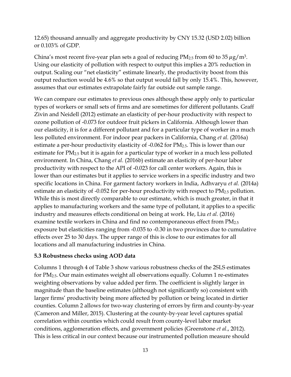12.65) thousand annually and aggregate productivity by CNY 15.32 (USD 2.02) billion or 0.103% of GDP.

China's most recent five-year plan sets a goal of reducing  $PM_{2.5}$  from 60 to 35  $\mu$ g/m<sup>3</sup>. Using our elasticity of pollution with respect to output this implies a 20% reduction in output. Scaling our "net elasticity" estimate linearly, the productivity boost from this output reduction would be 4.6% so that output would fall by only 15.4%. This, however, assumes that our estimates extrapolate fairly far outside out sample range.

We can compare our estimates to previous ones although these apply only to particular types of workers or small sets of firms and are sometimes for different pollutants. Graff Zivin and Neidell (2012) estimate an elasticity of per-hour productivity with respect to ozone pollution of -0.073 for outdoor fruit pickers in California. Although lower than our elasticity, it is for a different pollutant and for a particular type of worker in a much less polluted environment. For indoor pear packers in California, Chang *et al.* (2016a) estimate a per-hour productivity elasticity of -0.062 for PM<sub>2.5</sub>. This is lower than our estimate for PM2.5 but it is again for a particular type of worker in a much less polluted environment. In China, Chang *et al.* (2016b) estimate an elasticity of per-hour labor productivity with respect to the API of -0.023 for call center workers. Again, this is lower than our estimates but it applies to service workers in a specific industry and two specific locations in China. For garment factory workers in India, Adhvaryu *et al.* (2014a) estimate an elasticity of -0.052 for per-hour productivity with respect to PM2.5 pollution. While this is most directly comparable to our estimate, which is much greater, in that it applies to manufacturing workers and the same type of pollutant, it applies to a specific industry and measures effects conditional on being at work. He, Liu *et al.* (2016) examine textile workers in China and find no contemporaneous effect from PM<sub>2.5</sub> exposure but elasticities ranging from -0.035 to -0.30 in two provinces due to cumulative effects over 25 to 30 days. The upper range of this is close to our estimates for all locations and all manufacturing industries in China.

#### **5.3 Robustness checks using AOD data**

Columns 1 through 4 of Table 3 show various robustness checks of the 2SLS estimates for PM2.5. Our main estimates weight all observations equally. Column 1 re-estimates weighting observations by value added per firm. The coefficient is slightly larger in magnitude than the baseline estimates (although not significantly so) consistent with larger firms' productivity being more affected by pollution or being located in dirtier counties. Column 2 allows for two-way clustering of errors by firm and county-by-year (Cameron and Miller, 2015). Clustering at the county-by-year level captures spatial correlation within counties which could result from county-level labor market conditions, agglomeration effects, and government policies (Greenstone *et al*., 2012). This is less critical in our context because our instrumented pollution measure should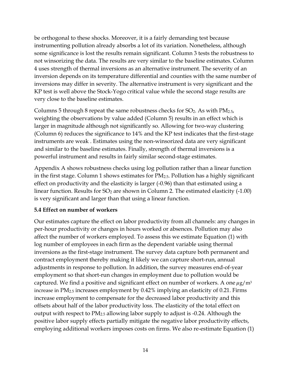be orthogonal to these shocks. Moreover, it is a fairly demanding test because instrumenting pollution already absorbs a lot of its variation. Nonetheless, although some significance is lost the results remain significant. Column 3 tests the robustness to not winsorizing the data. The results are very similar to the baseline estimates. Column 4 uses strength of thermal inversions as an alternative instrument. The severity of an inversion depends on its temperature differential and counties with the same number of inversions may differ in severity. The alternative instrument is very significant and the KP test is well above the Stock-Yogo critical value while the second stage results are very close to the baseline estimates.

Columns 5 through 8 repeat the same robustness checks for  $SO_2$ . As with  $PM_{2.5}$ , weighting the observations by value added (Column 5) results in an effect which is larger in magnitude although not significantly so. Allowing for two-way clustering (Column 6) reduces the significance to 14% and the KP test indicates that the first-stage instruments are weak . Estimates using the non-winsorized data are very significant and similar to the baseline estimates. Finally, strength of thermal inversions is a powerful instrument and results in fairly similar second-stage estimates.

Appendix A shows robustness checks using log pollution rather than a linear function in the first stage. Column 1 shows estimates for PM2.5. Pollution has a highly significant effect on productivity and the elasticity is larger (-0.96) than that estimated using a linear function. Results for  $SO<sub>2</sub>$  are shown in Column 2. The estimated elasticity (-1.00) is very significant and larger than that using a linear function.

#### **5.4 Effect on number of workers**

Our estimates capture the effect on labor productivity from all channels: any changes in per-hour productivity or changes in hours worked or absences. Pollution may also affect the number of workers employed. To assess this we estimate Equation (1) with log number of employees in each firm as the dependent variable using thermal inversions as the first-stage instrument. The survey data capture both permanent and contract employment thereby making it likely we can capture short-run, annual adjustments in response to pollution. In addition, the survey measures end-of-year employment so that short-run changes in employment due to pollution would be captured. We find a positive and significant effect on number of workers. A one  $\mu$ g/m<sup>3</sup> increase in PM2.5 increases employment by 0.42% implying an elasticity of 0.21. Firms increase employment to compensate for the decreased labor productivity and this offsets about half of the labor productivity loss. The elasticity of the total effect on output with respect to PM2.5 allowing labor supply to adjust is -0.24. Although the positive labor supply effects partially mitigate the negative labor productivity effects, employing additional workers imposes costs on firms. We also re-estimate Equation (1)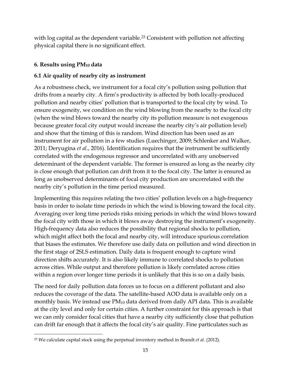with log capital as the dependent variable.<sup>[23](#page-15-0)</sup> Consistent with pollution not affecting physical capital there is no significant effect.

## **6. Results using PM<sup>10</sup> data**

 $\overline{a}$ 

## **6.1 Air quality of nearby city as instrument**

As a robustness check, we instrument for a focal city's pollution using pollution that drifts from a nearby city. A firm's productivity is affected by both locally-produced pollution and nearby cities' pollution that is transported to the focal city by wind. To ensure exogeneity, we condition on the wind blowing from the nearby to the focal city (when the wind blows toward the nearby city its pollution measure is not exogenous because greater focal city output would increase the nearby city's air pollution level) and show that the timing of this is random. Wind direction has been used as an instrument for air pollution in a few studies (Luechinger, 2009; Schlenker and Walker, 2011; Deryugina *et al*., 2016). Identification requires that the instrument be sufficiently correlated with the endogenous regressor and uncorrelated with any unobserved determinant of the dependent variable. The former is ensured as long as the nearby city is close enough that pollution can drift from it to the focal city. The latter is ensured as long as unobserved determinants of focal city production are uncorrelated with the nearby city's pollution in the time period measured.

Implementing this requires relating the two cities' pollution levels on a high-frequency basis in order to isolate time periods in which the wind is blowing toward the focal city. Averaging over long time periods risks mixing periods in which the wind blows toward the focal city with those in which it blows away destroying the instrument's exogeneity. High-frequency data also reduces the possibility that regional shocks to pollution, which might affect both the focal and nearby city, will introduce spurious correlation that biases the estimates. We therefore use daily data on pollution and wind direction in the first stage of 2SLS estimation. Daily data is frequent enough to capture wind direction shifts accurately. It is also likely immune to correlated shocks to pollution across cities. While output and therefore pollution is likely correlated across cities within a region over longer time periods it is unlikely that this is so on a daily basis.

The need for daily pollution data forces us to focus on a different pollutant and also reduces the coverage of the data. The satellite-based AOD data is available only on a monthly basis. We instead use  $PM_{10}$  data derived from daily API data. This is available at the city level and only for certain cities. A further constraint for this approach is that we can only consider focal cities that have a nearby city sufficiently close that pollution can drift far enough that it affects the focal city's air quality. Fine particulates such as

<span id="page-15-0"></span><sup>23</sup> We calculate capital stock using the perpetual inventory method in Brandt *et al.* (2012).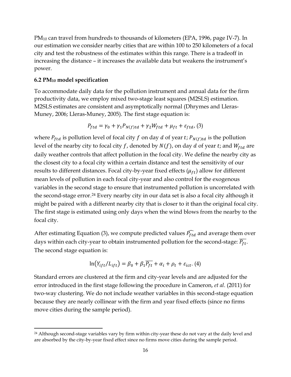PM<sup>10</sup> can travel from hundreds to thousands of kilometers (EPA, 1996, page IV-7). In our estimation we consider nearby cities that are within 100 to 250 kilometers of a focal city and test the robustness of the estimates within this range. There is a tradeoff in increasing the distance – it increases the available data but weakens the instrument's power.

#### **6.2 PM<sup>10</sup> model specification**

 $\overline{a}$ 

To accommodate daily data for the pollution instrument and annual data for the firm productivity data, we employ mixed two-stage least squares (M2SLS) estimation. M2SLS estimates are consistent and asymptotically normal (Dhrymes and Lleras-Muney, 2006; Lleras-Muney, 2005). The first stage equation is:

$$
P_{ftd} = \gamma_0 + \gamma_1 P_{N(f)td} + \gamma_2 W_{ftd} + \mu_{ft} + \varepsilon_{ftd},
$$
 (3)

where  $P_{ftd}$  is pollution level of focal city f on day d of year t;  $P_{N(f)td}$  is the pollution level of the nearby city to focal city f, denoted by  $N(f)$ , on day d of year t; and  $W_{ftd}$  are daily weather controls that affect pollution in the focal city. We define the nearby city as the closest city to a focal city within a certain distance and test the sensitivity of our results to different distances. Focal city-by-year fixed effects  $(\mu_{ft})$  allow for different mean levels of pollution in each focal city-year and also control for the exogenous variables in the second stage to ensure that instrumented pollution is uncorrelated with the second-stage error.[24](#page-16-0) Every nearby city in our data set is also a focal city although it might be paired with a different nearby city that is closer to it than the original focal city. The first stage is estimated using only days when the wind blows from the nearby to the focal city.

After estimating Equation (3), we compute predicted values  $\widehat{P_{ftd}}$  and average them over days within each city-year to obtain instrumented pollution for the second-stage:  $\overline{P_{ft}}$ . The second stage equation is:

$$
\ln(Y_{ift}/L_{ift}) = \beta_0 + \beta_1 \overline{P_{ft}} + \alpha_i + \rho_t + \varepsilon_{ict}.
$$
 (4)

Standard errors are clustered at the firm and city-year levels and are adjusted for the error introduced in the first stage following the procedure in Cameron, *et al*. (2011) for two-way clustering. We do not include weather variables in this second-stage equation because they are nearly collinear with the firm and year fixed effects (since no firms move cities during the sample period).

<span id="page-16-0"></span><sup>&</sup>lt;sup>24</sup> Although second-stage variables vary by firm within city-year these do not vary at the daily level and are absorbed by the city-by-year fixed effect since no firms move cities during the sample period.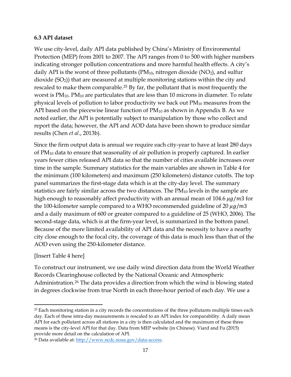#### **6.3 API dataset**

We use city-level, daily API data published by China's Ministry of Environmental Protection (MEP) from 2001 to 2007. The API ranges from 0 to 500 with higher numbers indicating stronger pollution concentrations and more harmful health effects. A city's daily API is the worst of three pollutants  $(PM_{10}$ , nitrogen dioxide  $(NO<sub>2</sub>)$ , and sulfur dioxide (SO2)) that are measured at multiple monitoring stations within the city and rescaled to make them comparable. [25](#page-17-0) By far, the pollutant that is most frequently the worst is  $PM_{10}$ .  $PM_{10}$  are particulates that are less than 10 microns in diameter. To relate physical levels of pollution to labor productivity we back out  $PM_{10}$  measures from the API based on the piecewise linear function of  $PM_{10}$  as shown in Appendix B. As we noted earlier, the API is potentially subject to manipulation by those who collect and report the data; however, the API and AOD data have been shown to produce similar results (Chen *et al*., 2013b).

Since the firm output data is annual we require each city-year to have at least 280 days of PM<sup>10</sup> data to ensure that seasonality of air pollution is properly captured. In earlier years fewer cities released API data so that the number of cities available increases over time in the sample. Summary statistics for the main variables are shown in Table 4 for the minimum (100 kilometers) and maximum (250 kilometers) distance cutoffs. The top panel summarizes the first-stage data which is at the city-day level. The summary statistics are fairly similar across the two distances. The  $PM_{10}$  levels in the sample are high enough to reasonably affect productivity with an annual mean of 104.6  $\mu$ g/m3 for the 100-kilometer sample compared to a WHO recommended guideline of 20  $\mu$ g/m3 and a daily maximum of 600 or greater compared to a guideline of 25 (WHO, 2006). The second-stage data, which is at the firm-year level, is summarized in the bottom panel. Because of the more limited availability of API data and the necessity to have a nearby city close enough to the focal city, the coverage of this data is much less than that of the AOD even using the 250-kilometer distance.

#### [Insert Table 4 here]

 $\overline{a}$ 

To construct our instrument, we use daily wind direction data from the World Weather Records Clearinghouse collected by the National Oceanic and Atmospheric Administration. [26](#page-17-1) The data provides a direction from which the wind is blowing stated in degrees clockwise from true North in each three-hour period of each day. We use a

<span id="page-17-0"></span><sup>&</sup>lt;sup>25</sup> Each monitoring station in a city records the concentrations of the three pollutants multiple times each day. Each of these intra-day measurements is rescaled to an API index for comparability. A daily mean API for each pollutant across all stations in a city is then calculated and the maximum of these three means is the city-level API for that day. Data from MEP website (in Chinese). Viard and Fu (2015) provide more detail on the calculation of API.

<span id="page-17-1"></span><sup>26</sup> Data available at: http://www.ncdc.noaa.gov/data-access.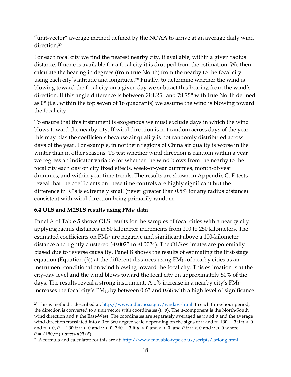"unit-vector" average method defined by the NOAA to arrive at an average daily wind direction.[27](#page-18-0)

For each focal city we find the nearest nearby city, if available, within a given radius distance. If none is available for a focal city it is dropped from the estimation. We then calculate the bearing in degrees (from true North) from the nearby to the focal city using each city's latitude and longitude.[28](#page-18-1) Finally, to determine whether the wind is blowing toward the focal city on a given day we subtract this bearing from the wind's direction. If this angle difference is between 281.25° and 78.75° with true North defined as 0° (i.e., within the top seven of 16 quadrants) we assume the wind is blowing toward the focal city.

To ensure that this instrument is exogenous we must exclude days in which the wind blows toward the nearby city. If wind direction is not random across days of the year, this may bias the coefficients because air quality is not randomly distributed across days of the year. For example, in northern regions of China air quality is worse in the winter than in other seasons. To test whether wind direction is random within a year we regress an indicator variable for whether the wind blows from the nearby to the focal city each day on city fixed effects, week-of-year dummies, month-of-year dummies, and within-year time trends. The results are shown in Appendix C. F-tests reveal that the coefficients on these time controls are highly significant but the difference in  $R^2$ 's is extremely small (never greater than  $0.5\%$  for any radius distance) consistent with wind direction being primarily random.

#### **6.4 OLS and M2SLS results using PM<sup>10</sup> data**

 $\overline{a}$ 

Panel A of Table 5 shows OLS results for the samples of focal cities with a nearby city applying radius distances in 50 kilometer increments from 100 to 250 kilometers. The estimated coefficients on PM<sup>10</sup> are negative and significant above a 100-kilometer distance and tightly clustered (-0.0025 to -0.0024). The OLS estimates are potentially biased due to reverse causality. Panel B shows the results of estimating the first-stage equation (Equation (3)) at the different distances using  $PM_{10}$  of nearby cities as an instrument conditional on wind blowing toward the focal city. This estimation is at the city-day level and the wind blows toward the focal city on approximately 50% of the days. The results reveal a strong instrument. A  $1\%$  increase in a nearby city's  $PM_{10}$ increases the focal city's PM10 by between 0.63 and 0.68 with a high level of significance.

<span id="page-18-0"></span><sup>&</sup>lt;sup>27</sup> This is method 1 described at: http://www.ndbc.noaa.gov/wndav.shtml. In each three-hour period, the direction is converted to a unit vector with coordinates  $\langle u, v \rangle$ . The *u*-component is the North-South wind direction and  $\nu$  the East-West. The coordinates are separately averaged as  $\bar{u}$  and  $\bar{v}$  and the average wind direction translated into a 0 to 360 degree scale depending on the signs of  $u$  and  $v: 180 - \theta$  if  $u < 0$ and  $v > 0$ ,  $\theta - 180$  if  $u < 0$  and  $v < 0$ ,  $360 - \theta$  if  $u > 0$  and  $v < 0$ , and  $\theta$  if  $u < 0$  and  $v > 0$  where  $\theta = (180/\pi) * arctan(\bar{u}/\bar{v}).$ 

<span id="page-18-1"></span><sup>&</sup>lt;sup>28</sup> A formula and calculator for this are at: http://www.movable-type.co.uk/scripts/latlong.html.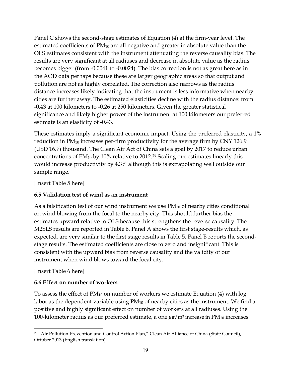Panel C shows the second-stage estimates of Equation (4) at the firm-year level. The estimated coefficients of PM<sup>10</sup> are all negative and greater in absolute value than the OLS estimates consistent with the instrument attenuating the reverse causality bias. The results are very significant at all radiuses and decrease in absolute value as the radius becomes bigger (from -0.0041 to -0.0024). The bias correction is not as great here as in the AOD data perhaps because these are larger geographic areas so that output and pollution are not as highly correlated. The correction also narrows as the radius distance increases likely indicating that the instrument is less informative when nearby cities are further away. The estimated elasticities decline with the radius distance: from -0.43 at 100 kilometers to -0.26 at 250 kilometers. Given the greater statistical significance and likely higher power of the instrument at 100 kilometers our preferred estimate is an elasticity of -0.43.

These estimates imply a significant economic impact. Using the preferred elasticity, a 1% reduction in PM<sup>10</sup> increases per-firm productivity for the average firm by CNY 126.9 (USD 16.7) thousand. The Clean Air Act of China sets a goal by 2017 to reduce urban concentrations of PM10 by 10% relative to 2012.[29](#page-19-0) Scaling our estimates linearly this would increase productivity by 4.3% although this is extrapolating well outside our sample range.

[Insert Table 5 here]

## **6.5 Validation test of wind as an instrument**

As a falsification test of our wind instrument we use  $PM_{10}$  of nearby cities conditional on wind blowing from the focal to the nearby city. This should further bias the estimates upward relative to OLS because this strengthens the reverse causality. The M2SLS results are reported in Table 6. Panel A shows the first stage-results which, as expected, are very similar to the first stage results in Table 5. Panel B reports the secondstage results. The estimated coefficients are close to zero and insignificant. This is consistent with the upward bias from reverse causality and the validity of our instrument when wind blows toward the focal city.

[Insert Table 6 here]

l

## **6.6 Effect on number of workers**

To assess the effect of  $PM_{10}$  on number of workers we estimate Equation (4) with log labor as the dependent variable using  $PM_{10}$  of nearby cities as the instrument. We find a positive and highly significant effect on number of workers at all radiuses. Using the 100-kilometer radius as our preferred estimate, a one  $\mu$ g/m<sup>3</sup> increase in PM<sub>10</sub> increases

<span id="page-19-0"></span><sup>29</sup> "Air Pollution Prevention and Control Action Plan," Clean Air Alliance of China (State Council), October 2013 (English translation).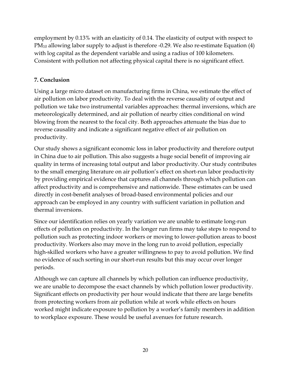employment by 0.13% with an elasticity of 0.14. The elasticity of output with respect to PM<sup>10</sup> allowing labor supply to adjust is therefore -0.29. We also re-estimate Equation (4) with log capital as the dependent variable and using a radius of 100 kilometers. Consistent with pollution not affecting physical capital there is no significant effect.

## **7. Conclusion**

Using a large micro dataset on manufacturing firms in China, we estimate the effect of air pollution on labor productivity. To deal with the reverse causality of output and pollution we take two instrumental variables approaches: thermal inversions, which are meteorologically determined, and air pollution of nearby cities conditional on wind blowing from the nearest to the focal city. Both approaches attenuate the bias due to reverse causality and indicate a significant negative effect of air pollution on productivity.

Our study shows a significant economic loss in labor productivity and therefore output in China due to air pollution. This also suggests a huge social benefit of improving air quality in terms of increasing total output and labor productivity. Our study contributes to the small emerging literature on air pollution's effect on short-run labor productivity by providing empirical evidence that captures all channels through which pollution can affect productivity and is comprehensive and nationwide. These estimates can be used directly in cost-benefit analyses of broad-based environmental policies and our approach can be employed in any country with sufficient variation in pollution and thermal inversions.

Since our identification relies on yearly variation we are unable to estimate long-run effects of pollution on productivity. In the longer run firms may take steps to respond to pollution such as protecting indoor workers or moving to lower-pollution areas to boost productivity. Workers also may move in the long run to avoid pollution, especially high-skilled workers who have a greater willingness to pay to avoid pollution. We find no evidence of such sorting in our short-run results but this may occur over longer periods.

Although we can capture all channels by which pollution can influence productivity, we are unable to decompose the exact channels by which pollution lower productivity. Significant effects on productivity per hour would indicate that there are large benefits from protecting workers from air pollution while at work while effects on hours worked might indicate exposure to pollution by a worker's family members in addition to workplace exposure. These would be useful avenues for future research.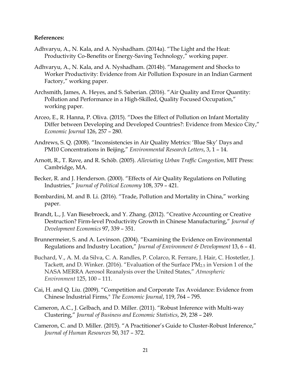#### **References:**

- Adhvaryu, A., N. Kala, and A. Nyshadham. (2014a). "The Light and the Heat: Productivity Co-Benefits or Energy-Saving Technology," working paper.
- Adhvaryu, A., N. Kala, and A. Nyshadham. (2014b). "Management and Shocks to Worker Productivity: Evidence from Air Pollution Exposure in an Indian Garment Factory," working paper.
- Archsmith, James, A. Heyes, and S. Saberian. (2016). "Air Quality and Error Quantity: Pollution and Performance in a High-Skilled, Quality Focused Occupation," working paper.
- Arceo, E., R. Hanna, P. Oliva. (2015). "Does the Effect of Pollution on Infant Mortality Differ between Developing and Developed Countries?: Evidence from Mexico City," *Economic Journal* 126, 257 – 280.
- Andrews, S. Q. (2008). "Inconsistencies in Air Quality Metrics: 'Blue Sky' Days and PM10 Concentrations in Beijing," *Environmental Research Letters*, 3, 1 – 14.
- Arnott, R., T. Rave, and R. Schӧb. (2005). *Alleviating Urban Traffic Congestion*, MIT Press: Cambridge, MA.
- Becker, R. and J. Henderson. (2000). "Effects of Air Quality Regulations on Polluting Industries," *Journal of Political Economy* 108, 379 – 421.
- Bombardini, M. and B. Li. (2016). "Trade, Pollution and Mortality in China," working paper.
- Brandt, L., J. Van Biesebroeck, and Y. Zhang. (2012). "Creative Accounting or Creative Destruction? Firm-level Productivity Growth in Chinese Manufacturing," *Journal of Development Economics* 97, 339 – 351.
- Brunnermeier, S. and A. Levinson. (2004). "Examining the Evidence on Environmental Regulations and Industry Location," *Journal of Environment & Development* 13, 6 – 41.
- Buchard, V., A. M. da Silva, C. A. Randles, P. Colarco, R. Ferrare, J. Hair, C. Hostetler, J. Tackett, and D. Winker. (2016). "Evaluation of the Surface PM2.5 in Version 1 of the NASA MERRA Aerosol Reanalysis over the United States," *Atmospheric Environment* 125, 100 – 111.
- Cai, H. and Q. Liu. (2009). "Competition and Corporate Tax Avoidance: Evidence from Chinese Industrial Firms," *The Economic Journal*, 119, 764 – 795.
- Cameron, A.C., J. Gelbach, and D. Miller. (2011). "Robust Inference with Multi-way Clustering," *Journal of Business and Economic Statistics*, 29, 238 – 249.
- Cameron, C. and D. Miller. (2015). "A Practitioner's Guide to Cluster-Robust Inference," *Journal of Human Resources* 50, 317 – 372.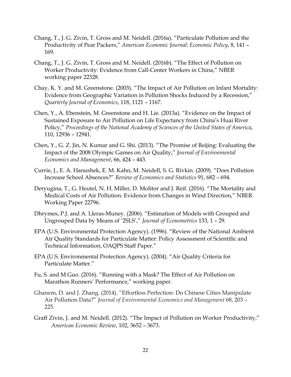- Chang, T., J. G. Zivin, T. Gross and M. Neidell. (2016a). "Particulate Pollution and the Productivity of Pear Packers," *American Economic Journal: Economic Policy*, 8, 141 – 169.
- Chang, T., J. G. Zivin, T. Gross and M. Neidell. (2016b). "The Effect of Pollution on Worker Productivity: Evidence from Call-Center Workers in China," NBER working paper 22328.
- Chay, K. Y. and M. Greenstone. (2003). "The Impact of Air Pollution on Infant Mortality: Evidence from Geographic Variation in Pollution Shocks Induced by a Recession," *Quarterly Journal of Economics*, 118, 1121 – 1167.
- Chen, Y., A. Ebenstein, M. Greenstone and H. Lie. (2013a). "Evidence on the Impact of Sustained Exposure to Air Pollution on Life Expectancy from China's Huai River Policy," *Proceedings of the National Academy of Sciences of the United States of America*, 110, 12936 – 12941.
- Chen, Y., G. Z. Jin, N. Kumar and G. Shi. (2013). "The Promise of Beijing: Evaluating the Impact of the 2008 Olympic Games on Air Quality," *Journal of Environmental Economics and Management*, 66, 424 – 443.
- Currie, J., E. A. Hanushek, E. M. Kahn, M. Neidell, S. G. Rivkin. (2009). "Does Pollution Increase School Absences?" *Review of Economics and Statistics* 91, 682 – 694.
- Deryugina, T., G. Heutel, N. H. Miller, D. Molitor and J. Reif. (2016). "The Mortality and Medical Costs of Air Pollution: Evidence from Changes in Wind Direction," NBER Working Paper 22796.
- Dhrymes, P.J. and A. Lleras-Muney. (2006). "Estimation of Models with Grouped and Ungrouped Data by Means of '2SLS'," *Journal of Econometrics* 133, 1 – 29.
- EPA (U.S. Environmental Protection Agency). (1996). "Review of the National Ambient Air Quality Standards for Particulate Matter: Policy Assessment of Scientific and Technical Information, OAQPS Staff Paper."
- EPA (U.S. Environmental Protection Agency). (2004). "Air Quality Criteria for Particulate Matter."
- Fu, S. and M Guo. (2016). "Running with a Mask? The Effect of Air Pollution on Marathon Runners' Performance," working paper.
- Ghanem, D. and J. Zhang. (2014). "Effortless Perfection: Do Chinese Cities Manipulate Air Pollution Data?" *Journal of Environmental Economics and Management* 68, 203 – 225.
- Graff Zivin, J. and M. Neidell. (2012). "The Impact of Pollution on Worker Productivity," *American Economic Review*, 102, 3652 – 3673.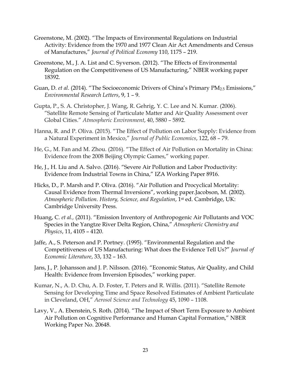- Greenstone, M. (2002). "The Impacts of Environmental Regulations on Industrial Activity: Evidence from the 1970 and 1977 Clean Air Act Amendments and Census of Manufactures," *Journal of Political Economy* 110, 1175 – 219.
- Greenstone, M., J. A. List and C. Syverson. (2012). "The Effects of Environmental Regulation on the Competitiveness of US Manufacturing," NBER working paper 18392.
- Guan, D. *et al.* (2014). "The Socioeconomic Drivers of China's Primary PM<sub>2.5</sub> Emissions," *Environmental Research Letters*, 9, 1 – 9.
- Gupta, P., S. A. Christopher, J. Wang, R. Gehrig, Y. C. Lee and N. Kumar. (2006). "Satellite Remote Sensing of Particulate Matter and Air Quality Assessment over Global Cities." *Atmospheric Environment*, 40, 5880 – 5892.
- Hanna, R. and P. Oliva. (2015). "The Effect of Pollution on Labor Supply: Evidence from a Natural Experiment in Mexico," *Journal of Public Economics*, 122, 68 – 79.
- He, G., M. Fan and M. Zhou. (2016). "The Effect of Air Pollution on Mortality in China: Evidence from the 2008 Beijing Olympic Games," working paper.
- He, J., H. Liu and A. Salvo. (2016). "Severe Air Pollution and Labor Productivity: Evidence from Industrial Towns in China," IZA Working Paper 8916.
- Hicks, D., P. Marsh and P. Oliva. (2016). "Air Pollution and Procyclical Mortality: Causal Evidence from Thermal Inversions", working paper.Jacobson, M. (2002). *Atmospheric Pollution. History, Science, and Regulation*, 1st ed. Cambridge, UK: Cambridge University Press.
- Huang, C. *et al.,* (2011). "Emission Inventory of Anthropogenic Air Pollutants and VOC Species in the Yangtze River Delta Region, China," *Atmospheric Chemistry and Physics*, 11, 4105 – 4120.
- Jaffe, A., S. Peterson and P. Portney. (1995). "Environmental Regulation and the Competitiveness of US Manufacturing: What does the Evidence Tell Us?" *Journal of Economic Literature*, 33, 132 – 163.
- Jans, J., P. Johansson and J. P. Nilsson. (2016). "Economic Status, Air Quality, and Child Health: Evidence from Inversion Episodes," working paper.
- Kumar, N., A. D. Chu, A. D. Foster, T. Peters and R. Willis. (2011). "Satellite Remote Sensing for Developing Time and Space Resolved Estimates of Ambient Particulate in Cleveland, OH," *Aerosol Science and Technology* 45, 1090 – 1108.
- Lavy, V., A. Ebenstein, S. Roth. (2014). "The Impact of Short Term Exposure to Ambient Air Pollution on Cognitive Performance and Human Capital Formation," NBER Working Paper No. 20648.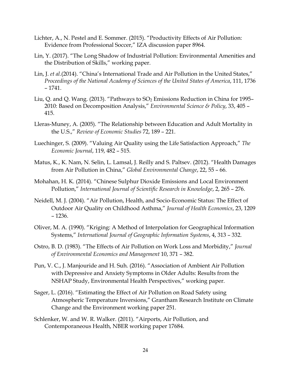- Lichter, A., N. Pestel and E. Sommer. (2015). "Productivity Effects of Air Pollution: Evidence from Professional Soccer," IZA discussion paper 8964.
- Lin, Y. (2017). "The Long Shadow of Industrial Pollution: Environmental Amenities and the Distribution of Skills," working paper.
- Lin, J. *et al.*(2014). "China's International Trade and Air Pollution in the United States," *Proceedings of the National Academy of Sciences of the United States of America*, 111, 1736 – 1741.
- Liu, Q. and Q. Wang. (2013). "Pathways to  $SO_2$  Emissions Reduction in China for 1995– 2010: Based on Decomposition Analysis," *Environmental Science & Policy*, 33, 405 – 415.
- Lleras-Muney, A. (2005). "The Relationship between Education and Adult Mortality in the U.S.," *Review of Economic Studies* 72, 189 – 221.
- Luechinger, S. (2009). "Valuing Air Quality using the Life Satisfaction Approach," *The Economic Journal*, 119, 482 – 515.
- Matus, K., K. Nam, N. Selin, L. Lamsal, J. Reilly and S. Paltsev. (2012). "Health Damages from Air Pollution in China," *Global Environmental Change*, 22, 55 – 66.
- Mohahan, H. K. (2014). "Chinese Sulphur Dioxide Emissions and Local Environment Pollution," *International Journal of Scientific Research in Knowledge*, 2, 265 – 276.
- Neidell, M. J. (2004). "Air Pollution, Health, and Socio-Economic Status: The Effect of Outdoor Air Quality on Childhood Asthma," *Journal of Health Economics*, 23, 1209 – 1236.
- Oliver, M. A. (1990). "Kriging: A Method of Interpolation for Geographical Information Systems," *International Journal of Geographic Information Systems*, 4, 313 – 332.
- Ostro, B. D. (1983). "The Effects of Air Pollution on Work Loss and Morbidity," *Journal of Environmental Economics and Management* 10, 371 – 382.
- Pun, V. C., J. Manjouride and H. Suh. (2016). "Association of Ambient Air Pollution with Depressive and Anxiety Symptoms in Older Adults: Results from the NSHAP Study, Environmental Health Perspectives," working paper.
- Sager, L. (2016). "Estimating the Effect of Air Pollution on Road Safety using Atmospheric Temperature Inversions," Grantham Research Institute on Climate Change and the Environment working paper 251.
- Schlenker, W. and W. R. Walker. (2011). "Airports, Air Pollution, and Contemporaneous Health, NBER working paper 17684.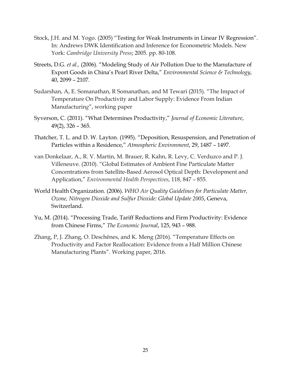- Stock, J.H. and M. Yogo. (2005) "Testing for Weak Instruments in Linear IV Regression". In: Andrews DWK Identification and Inference for Econometric Models. New York: *Cambridge University Press*; 2005. pp. 80-108.
- Streets, D.G. *et al.,* (2006). "Modeling Study of Air Pollution Due to the Manufacture of Export Goods in China's Pearl River Delta," *Environmental Science & Technology*, 40, 2099 – 2107.
- Sudarshan, A, E. Somanathan, R Somanathan, and M Tewari (2015). "The Impact of Temperature On Productivity and Labor Supply: Evidence From Indian Manufacturin*g*", working paper
- Syverson, C. (2011). "What Determines Productivity," *Journal of Economic Literature*, 49(2), 326 – 365.
- Thatcher, T. L. and D. W. Layton. (1995). "Deposition, Resuspension, and Penetration of Particles within a Residence," *Atmospheric Environment*, 29, 1487 – 1497.
- van Donkelaar, A., R. V. Martin, M. Brauer, R. Kahn, R. Levy, C. Verduzco and P. J. Villeneuve. (2010). "Global Estimates of Ambient Fine Particulate Matter Concentrations from Satellite-Based Aerosol Optical Depth: Development and Application," *Environmental Health Perspectives*, 118, 847 – 855.
- World Health Organization. (2006). *WHO Air Quality Guidelines for Particulate Matter, Ozone, Nitrogen Dioxide and Sulfur Dioxide: Global Update 2005*, Geneva, Switzerland.
- Yu, M. (2014). "Processing Trade, Tariff Reductions and Firm Productivity: Evidence from Chinese Firms," *The Economic Journal*, 125, 943 – 988.
- Zhang, P, J. Zhang, O. Deschênes, and K. Meng (2016). "Temperature Effects on Productivity and Factor Reallocation: Evidence from a Half Million Chinese Manufacturing Plants". Working paper, 2016.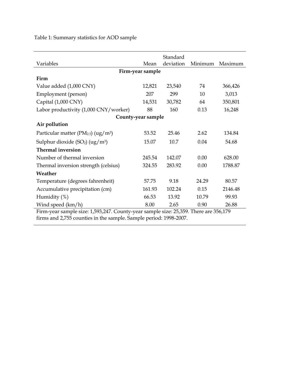Table 1: Summary statistics for AOD sample

| Standard                                                                             |        |           |         |         |  |  |  |  |
|--------------------------------------------------------------------------------------|--------|-----------|---------|---------|--|--|--|--|
| Variables                                                                            | Mean   | deviation | Minimum | Maximum |  |  |  |  |
| Firm-year sample                                                                     |        |           |         |         |  |  |  |  |
| Firm                                                                                 |        |           |         |         |  |  |  |  |
| Value added (1,000 CNY)                                                              | 12,821 | 23,540    | 74      | 366,426 |  |  |  |  |
| Employment (person)                                                                  | 207    | 299       | 10      | 3,013   |  |  |  |  |
| Capital (1,000 CNY)                                                                  | 14,531 | 30,782    | 64      | 350,801 |  |  |  |  |
| Labor productivity (1,000 CNY/worker)                                                | 88     | 160       | 0.13    | 16,248  |  |  |  |  |
| County-year sample                                                                   |        |           |         |         |  |  |  |  |
| Air pollution                                                                        |        |           |         |         |  |  |  |  |
| Particular matter ( $PM_{2.5}$ ) (ug/m <sup>3</sup> )                                | 53.52  | 25.46     | 2.62    | 134.84  |  |  |  |  |
| Sulphur dioxide $(SO_2)$ (ug/m <sup>3</sup> )                                        | 15.07  | 10.7      | 0.04    | 54.68   |  |  |  |  |
| <b>Thermal inversion</b>                                                             |        |           |         |         |  |  |  |  |
| Number of thermal inversion                                                          | 245.54 | 142.07    | 0.00    | 628.00  |  |  |  |  |
| Thermal inversion strength (celsius)                                                 | 324.55 | 283.92    | 0.00    | 1788.87 |  |  |  |  |
| Weather                                                                              |        |           |         |         |  |  |  |  |
| Temperature (degrees fahrenheit)                                                     | 57.75  | 9.18      | 24.29   | 80.57   |  |  |  |  |
| Accumulative precipitation (cm)                                                      | 161.93 | 102.24    | 0.15    | 2146.48 |  |  |  |  |
| Humidity $(\%)$                                                                      | 66.53  | 13.92     | 10.79   | 99.93   |  |  |  |  |
| Wind speed (km/h)                                                                    | 8.00   | 2.65      | 0.90    | 26.88   |  |  |  |  |
| Firm-year sample size: 1,593,247. County-year sample size: 25,359. There are 356,179 |        |           |         |         |  |  |  |  |

firms and 2,755 counties in the sample. Sample period: 1998-2007.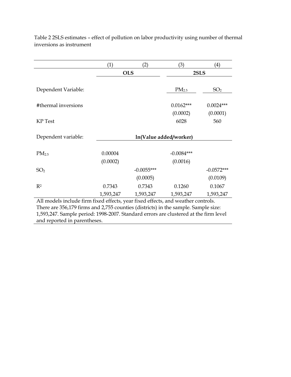|                                                                                      | (1)       | (2)                    | (3)               | (4)             |  |  |
|--------------------------------------------------------------------------------------|-----------|------------------------|-------------------|-----------------|--|--|
|                                                                                      |           | <b>OLS</b>             | 2SLS              |                 |  |  |
|                                                                                      |           |                        |                   |                 |  |  |
| Dependent Variable:                                                                  |           |                        | PM <sub>2.5</sub> | SO <sub>2</sub> |  |  |
|                                                                                      |           |                        |                   |                 |  |  |
| #thermal inversions                                                                  |           |                        | $0.0162***$       | $0.0024***$     |  |  |
|                                                                                      |           |                        | (0.0002)          | (0.0001)        |  |  |
| KP Test                                                                              |           |                        | 6028              | 560             |  |  |
|                                                                                      |           |                        |                   |                 |  |  |
| Dependent variable:                                                                  |           | ln(Value added/worker) |                   |                 |  |  |
|                                                                                      |           |                        |                   |                 |  |  |
| PM <sub>2.5</sub>                                                                    | 0.00004   |                        | $-0.0084***$      |                 |  |  |
|                                                                                      | (0.0002)  |                        | (0.0016)          |                 |  |  |
| SO <sub>2</sub>                                                                      |           | $-0.0055***$           |                   | $-0.0572***$    |  |  |
|                                                                                      |           | (0.0005)               |                   | (0.0109)        |  |  |
| R <sup>2</sup>                                                                       | 0.7343    | 0.7343                 | 0.1260            | 0.1067          |  |  |
|                                                                                      | 1,593,247 | 1,593,247              | 1,593,247         | 1,593,247       |  |  |
| All models include firm fixed effects, year fixed effects, and weather controls.     |           |                        |                   |                 |  |  |
| There are 356,179 firms and 2,755 counties (districts) in the sample. Sample size:   |           |                        |                   |                 |  |  |
| 1,593,247. Sample period: 1998-2007. Standard errors are clustered at the firm level |           |                        |                   |                 |  |  |
| and reported in parentheses.                                                         |           |                        |                   |                 |  |  |

Table 2 2SLS estimates – effect of pollution on labor productivity using number of thermal inversions as instrument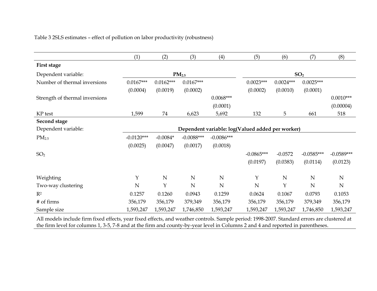| Table 3 2SLS estimates - effect of pollution on labor productivity (robustness) |  |  |
|---------------------------------------------------------------------------------|--|--|
|---------------------------------------------------------------------------------|--|--|

|                                | (1)          | (2)         | (3)                                                                                                                                         | (4)          | (5)                                              | (6)         | (7)             | (8)          |
|--------------------------------|--------------|-------------|---------------------------------------------------------------------------------------------------------------------------------------------|--------------|--------------------------------------------------|-------------|-----------------|--------------|
| First stage                    |              |             |                                                                                                                                             |              |                                                  |             |                 |              |
| Dependent variable:            |              |             | PM <sub>2.5</sub>                                                                                                                           |              |                                                  |             | SO <sub>2</sub> |              |
| Number of thermal inversions   | $0.0167***$  | $0.0162***$ | $0.0167***$                                                                                                                                 |              | $0.0023***$                                      | $0.0024***$ | $0.0025***$     |              |
|                                | (0.0004)     | (0.0019)    | (0.0002)                                                                                                                                    |              | (0.0002)                                         | (0.0010)    | (0.0001)        |              |
| Strength of thermal inversions |              |             |                                                                                                                                             | $0.0068***$  |                                                  |             |                 | $0.0010***$  |
|                                |              |             |                                                                                                                                             | (0.0001)     |                                                  |             |                 | (0.00004)    |
| KP test                        | 1,599        | 74          | 6,623                                                                                                                                       | 5,692        | 132                                              | 5           | 661             | 518          |
| Second stage                   |              |             |                                                                                                                                             |              |                                                  |             |                 |              |
| Dependent variable:            |              |             |                                                                                                                                             |              | Dependent variable: log(Valued added per worker) |             |                 |              |
| PM <sub>2.5</sub>              | $-0.0120***$ | $-0.0084*$  | $-0.0088***$                                                                                                                                | $-0.0086***$ |                                                  |             |                 |              |
|                                | (0.0025)     | (0.0047)    | (0.0017)                                                                                                                                    | (0.0018)     |                                                  |             |                 |              |
| SO <sub>2</sub>                |              |             |                                                                                                                                             |              | $-0.0865***$                                     | $-0.0572$   | $-0.0585***$    | $-0.0589***$ |
|                                |              |             |                                                                                                                                             |              | (0.0197)                                         | (0.0383)    | (0.0114)        | (0.0123)     |
| Weighting                      | Y            | ${\bf N}$   | $\mathbf N$                                                                                                                                 | $\mathbf N$  | Y                                                | $\mathbf N$ | N               | $\mathbf N$  |
| Two-way clustering             | $\mathbf N$  | Y           | ${\bf N}$                                                                                                                                   | $\mathbf N$  | N                                                | Y           | N               | ${\bf N}$    |
| $R^2$                          | 0.1257       | 0.1260      | 0.0943                                                                                                                                      | 0.1259       | 0.0624                                           | 0.1067      | 0.0793          | 0.1053       |
| # of firms                     | 356,179      | 356,179     | 379,349                                                                                                                                     | 356,179      | 356,179                                          | 356,179     | 379,349         | 356,179      |
| Sample size                    | 1,593,247    | 1,593,247   | 1,746,850                                                                                                                                   | 1,593,247    | 1,593,247                                        | 1,593,247   | 1,746,850       | 1,593,247    |
|                                |              |             | All models include firm fixed effects, year fixed effects, and weather controls. Sample period: 1998-2007. Standard errors are clustered at |              |                                                  |             |                 |              |

All models include firm fixed effects, year fixed effects, and weather controls. Sample period: 1998-2007. Standard errors are clustered at the firm level for columns 1, 3-5, 7-8 and at the firm and county-by-year level in Columns 2 and 4 and reported in parentheses.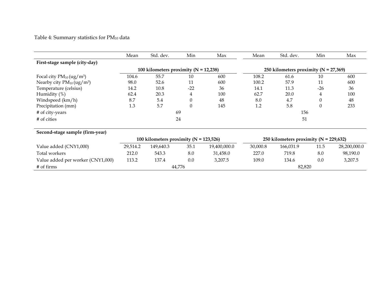# Table 4: Summary statistics for  $PM_{10}$  data

|                                            | Mean     | Std. dev.                                  | Min      | Max          | Mean     | Std. dev.                                  | Min              | Max          |
|--------------------------------------------|----------|--------------------------------------------|----------|--------------|----------|--------------------------------------------|------------------|--------------|
| First-stage sample (city-day)              |          |                                            |          |              |          |                                            |                  |              |
|                                            |          | 100 kilometers proximity ( $N = 12,238$ )  |          |              |          | 250 kilometers proximity ( $N = 27,369$ )  |                  |              |
| Focal city $PM_{10}(ug/m^3)$               | 104.6    | 55.7                                       | 10       | 600          | 108.2    | 61.6                                       | 10               | 600          |
| Nearby city $PM_{10}$ (ug/m <sup>3</sup> ) | 98.0     | 52.6                                       | 11       | 600          | 100.2    | 57.9                                       | 11               | 600          |
| Temperature (celsius)                      | 14.2     | 10.8                                       | $-22$    | 36           | 14.1     | 11.3                                       | $-26$            | 36           |
| Humidity (%)                               | 62.4     | 20.3                                       | 4        | 100          | 62.7     | 20.0                                       | 4                | 100          |
| Windspeed (km/h)                           | 8.7      | 5.4                                        | $\theta$ | 48           | 8.0      | 4.7                                        | $\boldsymbol{0}$ | 48           |
| Precipitation (mm)                         | 1.3      | 5.7                                        | $\theta$ | 145          | 1.2      | 5.8                                        | $\theta$         | 233          |
| # of city-years                            |          |                                            | 69       |              | 156      |                                            |                  |              |
| # of cities                                |          |                                            | 24       |              |          | 51                                         |                  |              |
| Second-stage sample (firm-year)            |          |                                            |          |              |          |                                            |                  |              |
|                                            |          | 100 kilometers proximity ( $N = 123,526$ ) |          |              |          | 250 kilometers proximity ( $N = 229,632$ ) |                  |              |
| Value added (CNY1,000)                     | 29,514.2 | 149,640.3                                  | 35.1     | 19,400,000.0 | 30,000.8 | 166,031.9                                  | 11.5             | 28,200,000.0 |
| Total workers                              | 212.0    | 543.3                                      | 8.0      | 31,458.0     | 227.0    | 719.8                                      | 8.0              | 98,190.0     |
| Value added per worker (CNY1,000)          | 113.2    | 137.4                                      | 0.0      | 3,207.5      | 109.0    | 134.6                                      | 0.0              | 3,207.5      |
| # of firms                                 |          |                                            | 44,776   |              |          | 82,820                                     |                  |              |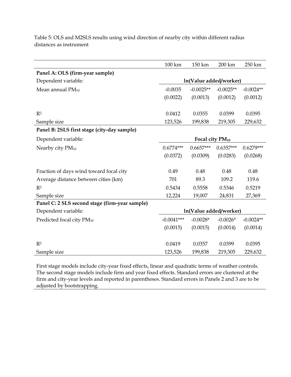|                                                | 100 km                 | 150 km                      | 200 km      | 250 km      |  |
|------------------------------------------------|------------------------|-----------------------------|-------------|-------------|--|
| Panel A: OLS (firm-year sample)                |                        |                             |             |             |  |
| Dependent variable:                            |                        | ln(Value added/worker)      |             |             |  |
| Mean annual $PM_{10}$                          | $-0.0035$              | $-0.0025**$                 | $-0.0025**$ | $-0.0024**$ |  |
|                                                | (0.0022)               | (0.0013)                    | (0.0012)    | (0.0012)    |  |
|                                                |                        |                             |             |             |  |
| R <sup>2</sup>                                 | 0.0412                 | 0.0355                      | 0.0399      | 0.0395      |  |
| Sample size                                    | 123,526                | 199,838                     | 219,305     | 229,632     |  |
| Panel B: 2SLS first stage (city-day sample)    |                        |                             |             |             |  |
| Dependent variable:                            |                        | Focal city PM <sub>10</sub> |             |             |  |
| Nearby city PM <sub>10</sub>                   | $0.6774***$            | $0.6657***$                 | $0.6357***$ | $0.6279***$ |  |
|                                                | (0.0372)               | (0.0309)                    | (0.0283)    | (0.0268)    |  |
|                                                |                        |                             |             |             |  |
| Fraction of days wind toward focal city        | 0.49                   | 0.48                        | 0.48        | 0.48        |  |
| Average distance between cities (km)           | 701                    | 89.3                        | 109.2       | 119.6       |  |
| R <sup>2</sup>                                 | 0.5434                 | 0.5558                      | 0.5346      | 0.5219      |  |
| Sample size                                    | 12,224                 | 19,007                      | 24,831      | 27,369      |  |
| Panel C: 2 SLS second stage (firm-year sample) |                        |                             |             |             |  |
| Dependent variable:                            | ln(Value added/worker) |                             |             |             |  |
| Predicted focal city PM10                      | $-0.0041***$           | $-0.0028*$                  | $-0.0026*$  | $-0.0024**$ |  |
|                                                | (0.0015)               | (0.0015)                    | (0.0014)    | (0.0014)    |  |
|                                                |                        |                             |             |             |  |
| R <sup>2</sup>                                 | 0.0419                 | 0.0357                      | 0.0399      | 0.0395      |  |
| Sample size                                    | 123,526                | 199,838                     | 219,305     | 229,632     |  |

Table 5: OLS and M2SLS results using wind direction of nearby city within different radius distances as instrument

First stage models include city-year fixed effects, linear and quadratic terms of weather controls. The second stage models include firm and year fixed effects. Standard errors are clustered at the firm and city-year levels and reported in parentheses. Standard errors in Panels 2 and 3 are to be adjusted by bootstrapping.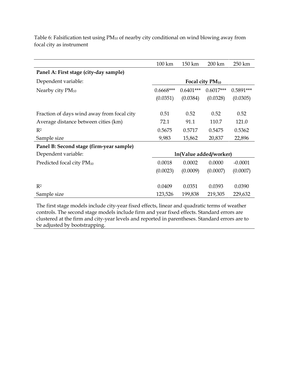|                                            | 100 km      | 150 km      | 200 km                      | 250 km      |
|--------------------------------------------|-------------|-------------|-----------------------------|-------------|
| Panel A: First stage (city-day sample)     |             |             |                             |             |
| Dependent variable:                        |             |             | Focal city PM <sub>10</sub> |             |
| Nearby city $PM_{10}$                      | $0.6668***$ | $0.6401***$ | $0.6017***$                 | $0.5891***$ |
|                                            | (0.0351)    | (0.0384)    | (0.0328)                    | (0.0305)    |
|                                            |             |             |                             |             |
| Fraction of days wind away from focal city | 0.51        | 0.52        | 0.52                        | 0.52        |
| Average distance between cities (km)       | 72.1        | 91.1        | 110.7                       | 121.0       |
| $R^2$                                      | 0.5675      | 0.5717      | 0.5475                      | 0.5362      |
| Sample size                                | 9,983       | 15,862      | 20,837                      | 22,896      |
| Panel B: Second stage (firm-year sample)   |             |             |                             |             |
| Dependent variable:                        |             |             | ln(Value added/worker)      |             |
| Predicted focal city PM <sub>10</sub>      | 0.0018      | 0.0002      | 0.0000                      | $-0.0001$   |
|                                            | (0.0023)    | (0.0009)    | (0.0007)                    | (0.0007)    |
|                                            |             |             |                             |             |
| $R^2$                                      | 0.0409      | 0.0351      | 0.0393                      | 0.0390      |
| Sample size                                | 123,526     | 199,838     | 219,305                     | 229,632     |
|                                            |             |             |                             |             |

Table 6: Falsification test using PM<sub>10</sub> of nearby city conditional on wind blowing away from focal city as instrument

The first stage models include city-year fixed effects, linear and quadratic terms of weather controls. The second stage models include firm and year fixed effects. Standard errors are clustered at the firm and city-year levels and reported in parentheses. Standard errors are to be adjusted by bootstrapping.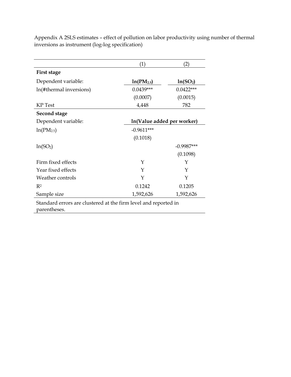|                                                                 | (1)            | (2)                        |
|-----------------------------------------------------------------|----------------|----------------------------|
| First stage                                                     |                |                            |
| Dependent variable:                                             | $ln(PM_{2.5})$ | ln(SO <sub>2</sub> )       |
| ln(#thermal inversions)                                         | $0.0439***$    | $0.0422***$                |
|                                                                 | (0.0007)       | (0.0015)                   |
| <b>KP</b> Test                                                  | 4,448          | 782                        |
| <b>Second stage</b>                                             |                |                            |
| Dependent variable:                                             |                | In(Value added per worker) |
| ln(PM <sub>2.5</sub> )                                          | $-0.9611***$   |                            |
|                                                                 | (0.1018)       |                            |
| ln(SO <sub>2</sub> )                                            |                | $-0.9987***$               |
|                                                                 |                | (0.1098)                   |
| Firm fixed effects                                              | Y              | Y                          |
| Year fixed effects                                              | Y              | Y                          |
| Weather controls                                                | Y              | Y                          |
| $R^2$                                                           | 0.1242         | 0.1205                     |
| Sample size                                                     | 1,592,626      | 1,592,626                  |
| Standard errors are clustered at the firm level and reported in |                |                            |
| parentheses.                                                    |                |                            |

Appendix A 2SLS estimates – effect of pollution on labor productivity using number of thermal inversions as instrument (log-log specification)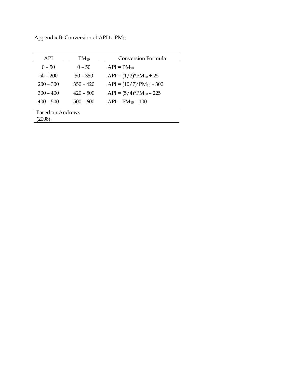Appendix B: Conversion of API to PM<sup>10</sup>

| API              | $PM_{10}$   | <b>Conversion Formula</b>     |
|------------------|-------------|-------------------------------|
| $0 - 50$         | $0 - 50$    | $API = PM_{10}$               |
| $50 - 200$       | $50 - 350$  | $API = (1/2)*PM_{10} + 25$    |
| $200 - 300$      | $350 - 420$ | $API = (10/7)^*PM_{10} - 300$ |
| $300 - 400$      | $420 - 500$ | $API = (5/4)*PM_{10} - 225$   |
| $400 - 500$      | $500 - 600$ | $API = PM_{10} - 100$         |
|                  |             |                               |
| Based on Andrews |             |                               |
| $2008$ ).        |             |                               |